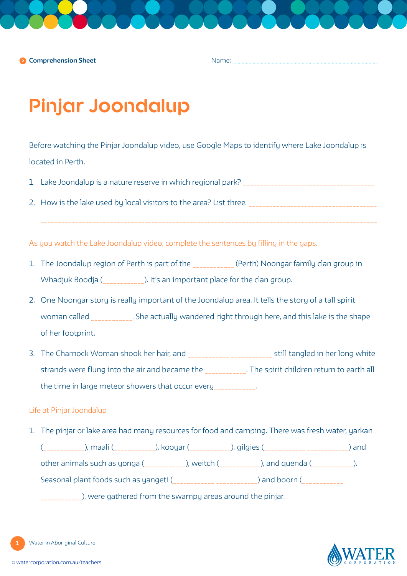Name:

# **Pinjar Joondalup**

Before watching the Pinjar Joondalup video, use Google Maps to identify where Lake Joondalup is located in Perth.

- 1. Lake Joondalup is a nature reserve in which regional park? \_\_\_\_\_\_\_\_\_\_\_\_\_\_\_\_\_\_\_\_\_\_\_\_\_\_\_\_\_\_\_\_\_\_\_\_\_\_
- 2. How is the lake used by local visitors to the area? List three. \_\_\_\_\_\_\_\_\_\_\_\_\_\_\_\_\_\_\_\_\_\_\_\_\_\_\_\_\_\_\_\_\_\_\_\_\_

\_\_\_\_\_\_\_\_\_\_\_\_\_\_\_\_\_\_\_\_\_\_\_\_\_\_\_\_\_\_\_\_\_\_\_\_\_\_\_\_\_\_\_\_\_\_\_\_\_\_\_\_\_\_\_\_\_\_\_\_\_\_\_\_\_\_\_\_\_\_\_\_\_\_\_\_\_\_\_\_\_\_\_\_\_\_\_\_\_\_\_\_\_\_\_\_\_

As you watch the Lake Joondalup video, complete the sentences by filling in the gaps.

- 1. The Joondalup region of Perth is part of the \_\_\_\_\_\_\_\_\_\_\_\_ (Perth) Noongar family clan group in Whadjuk Boodja (\_\_\_\_\_\_\_\_\_\_\_\_). It's an important place for the clan group.
- 2. One Noongar story is really important of the Joondalup area. It tells the story of a tall spirit woman called **Example 20** . She actually wandered right through here, and this lake is the shape of her footprint.
- 3. The Charnock Woman shook her hair, and \_\_\_\_\_\_\_\_\_\_\_\_\_\_\_\_\_\_\_\_\_\_\_\_\_\_\_\_\_\_\_\_ still tangled in her long white strands were flung into the air and became the \_\_\_\_\_\_\_\_\_\_\_\_. The spirit children return to earth all the time in large meteor showers that occur every\_\_\_\_\_\_\_\_\_\_\_.

## Life at Pinjar Joondalup

1. The pinjar or lake area had many resources for food and camping. There was fresh water, yarkan (\_\_\_\_\_\_\_\_\_\_\_\_), maali (\_\_\_\_\_\_\_\_\_\_\_\_), kooyar (\_\_\_\_\_\_\_\_\_\_\_\_), gilgies (\_\_\_\_\_\_\_\_\_\_\_\_ \_\_\_\_\_\_\_\_\_\_\_\_) and other animals such as yonga (\_\_\_\_\_\_\_\_\_\_\_\_), weitch (\_\_\_\_\_\_\_\_\_\_\_\_), and quenda (\_\_\_\_\_\_\_\_\_\_\_\_). Seasonal plant foods such as yangeti (\_\_\_\_\_\_\_\_\_\_\_\_ \_\_\_\_\_\_\_\_\_\_\_) and boorn (\_\_\_\_\_\_\_\_\_\_\_ \_\_\_\_\_\_\_\_\_\_\_\_), were gathered from the swampy areas around the pinjar.

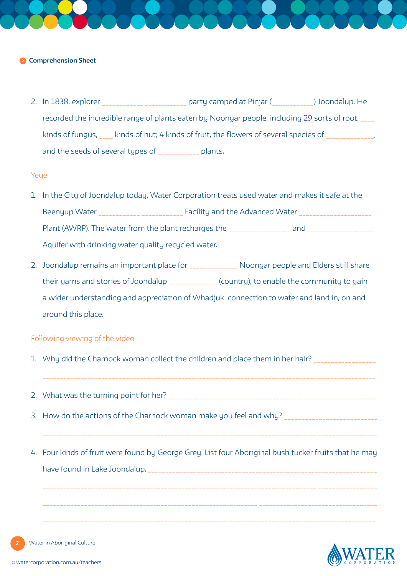#### **Comprehension Sheet**

2. In 1838, explorer \_\_\_\_\_\_\_\_\_\_\_\_\_\_\_\_\_\_\_\_\_\_\_\_ party camped at Pinjar (\_\_\_\_\_\_\_\_\_\_\_) Joondalup. He recorded the incredible range of plants eaten by Noongar people, including 29 sorts of root, kinds of fungus, kinds of nut; 4 kinds of fruit, the flowers of several species of and the seeds of several types of \_\_\_\_\_\_\_\_\_\_\_\_ plants.

### Yeye

- 1. In the City of Joondalup today, Water Corporation treats used water and makes it safe at the Beenyup Water **Example 20** Facility and the Advanced Water **Beenyup** Water **Example 20** Plant (AWRP). The water from the plant recharges the \_\_\_\_\_\_\_\_\_\_\_\_\_\_\_\_\_\_ and \_\_\_\_\_\_\_\_\_\_\_\_\_\_\_\_\_\_\_ Aquifer with drinking water quality recycled water.
- 2. Joondalup remains an important place for \_\_\_\_\_\_\_\_\_\_\_\_\_\_\_ Noongar people and Elders still share their yarns and stories of Joondalup \_\_\_\_\_\_\_\_\_\_\_\_\_ (country), to enable the community to gain a wider understanding and appreciation of Whadjuk connection to water and land in, on and around this place.

### Following viewing of the video

- 1. Why did the Charnock woman collect the children and place them in her hair? \_\_\_\_\_\_\_\_\_\_\_\_\_\_\_\_\_\_\_\_
- 2. What was the turning point for her? \_\_\_\_\_\_\_\_\_\_\_\_\_\_\_\_\_\_\_\_\_\_\_\_\_\_\_\_\_\_\_\_\_\_\_\_\_\_\_\_\_\_\_\_\_\_\_\_\_\_\_\_\_\_\_\_\_\_\_\_
- 3. How do the actions of the Charnock woman make you feel and why? \_\_\_\_\_\_\_\_\_\_\_\_\_\_\_\_\_\_\_\_\_\_\_\_\_\_\_
- 4. Four kinds of fruit were found by George Grey. List four Aboriginal bush tucker fruits that he may have found in Lake Joondalup.

 $\mathcal{L}_\mathcal{L} = \mathcal{L}_\mathcal{L} = \mathcal{L}_\mathcal{L} = \mathcal{L}_\mathcal{L} = \mathcal{L}_\mathcal{L} = \mathcal{L}_\mathcal{L} = \mathcal{L}_\mathcal{L} = \mathcal{L}_\mathcal{L} = \mathcal{L}_\mathcal{L} = \mathcal{L}_\mathcal{L} = \mathcal{L}_\mathcal{L} = \mathcal{L}_\mathcal{L} = \mathcal{L}_\mathcal{L} = \mathcal{L}_\mathcal{L} = \mathcal{L}_\mathcal{L} = \mathcal{L}_\mathcal{L} = \mathcal{L}_\mathcal{L}$ 

 $\mathcal{L}_\mathcal{L} = \mathcal{L}_\mathcal{L} = \mathcal{L}_\mathcal{L} = \mathcal{L}_\mathcal{L} = \mathcal{L}_\mathcal{L} = \mathcal{L}_\mathcal{L} = \mathcal{L}_\mathcal{L} = \mathcal{L}_\mathcal{L} = \mathcal{L}_\mathcal{L} = \mathcal{L}_\mathcal{L} = \mathcal{L}_\mathcal{L} = \mathcal{L}_\mathcal{L} = \mathcal{L}_\mathcal{L} = \mathcal{L}_\mathcal{L} = \mathcal{L}_\mathcal{L} = \mathcal{L}_\mathcal{L} = \mathcal{L}_\mathcal{L}$ 



**2**